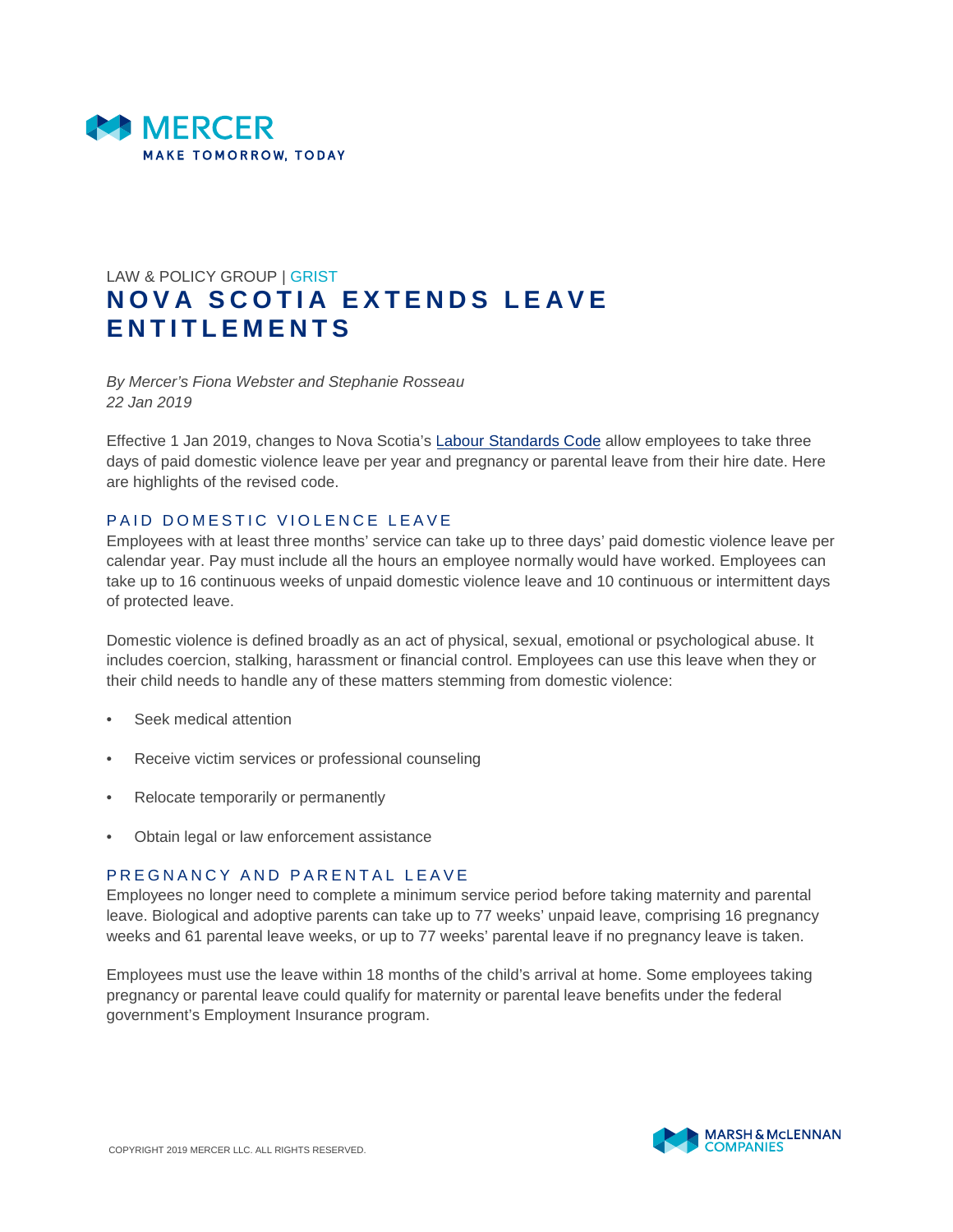

## LAW & POLICY GROUP | GRIST **NOVA SCOTIA EXTENDS LEAVE E N T I T L E M E N T S**

*By Mercer's Fiona Webster and Stephanie Rosseau 22 Jan 2019*

Effective 1 Jan 2019, changes to Nova Scotia's [Labour Standards Code](https://novascotia.ca/lae/employmentrights/introtols.asp) allow employees to take three days of paid domestic violence leave per year and pregnancy or parental leave from their hire date. Here are highlights of the revised code.

## PAID DOMESTIC VIOLENCE LEAVE

Employees with at least three months' service can take up to three days' paid domestic violence leave per calendar year. Pay must include all the hours an employee normally would have worked. Employees can take up to 16 continuous weeks of unpaid domestic violence leave and 10 continuous or intermittent days of protected leave.

Domestic violence is defined broadly as an act of physical, sexual, emotional or psychological abuse. It includes coercion, stalking, harassment or financial control. Employees can use this leave when they or their child needs to handle any of these matters stemming from domestic violence:

- Seek medical attention
- Receive victim services or professional counseling
- Relocate temporarily or permanently
- Obtain legal or law enforcement assistance

## PREGNANCY AND PARENTAL LEAVE

Employees no longer need to complete a minimum service period before taking maternity and parental leave. Biological and adoptive parents can take up to 77 weeks' unpaid leave, comprising 16 pregnancy weeks and 61 parental leave weeks, or up to 77 weeks' parental leave if no pregnancy leave is taken.

Employees must use the leave within 18 months of the child's arrival at home. Some employees taking pregnancy or parental leave could qualify for maternity or parental leave benefits under the federal government's Employment Insurance program.